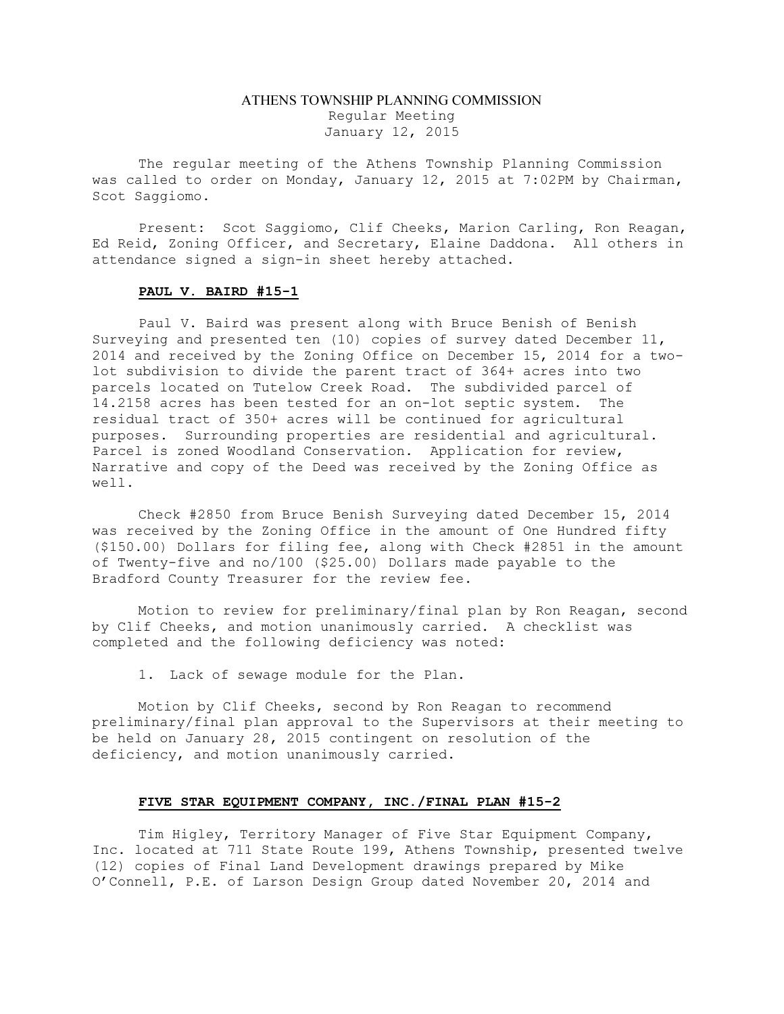## ATHENS TOWNSHIP PLANNING COMMISSION Regular Meeting January 12, 2015

The regular meeting of the Athens Township Planning Commission was called to order on Monday, January 12, 2015 at 7:02PM by Chairman, Scot Saggiomo.

Present: Scot Saggiomo, Clif Cheeks, Marion Carling, Ron Reagan, Ed Reid, Zoning Officer, and Secretary, Elaine Daddona. All others in attendance signed a sign-in sheet hereby attached.

## PAUL V. BAIRD #15-1

Paul V. Baird was present along with Bruce Benish of Benish Surveying and presented ten (10) copies of survey dated December 11, 2014 and received by the Zoning Office on December 15, 2014 for a twolot subdivision to divide the parent tract of 364+ acres into two parcels located on Tutelow Creek Road. The subdivided parcel of 14.2158 acres has been tested for an on-lot septic system. The residual tract of 350+ acres will be continued for agricultural purposes. Surrounding properties are residential and agricultural. Parcel is zoned Woodland Conservation. Application for review, Narrative and copy of the Deed was received by the Zoning Office as well.

Check #2850 from Bruce Benish Surveying dated December 15, 2014 was received by the Zoning Office in the amount of One Hundred fifty (\$150.00) Dollars for filing fee, along with Check #2851 in the amount of Twenty-five and no/100 (\$25.00) Dollars made payable to the Bradford County Treasurer for the review fee.

Motion to review for preliminary/final plan by Ron Reagan, second by Clif Cheeks, and motion unanimously carried. A checklist was completed and the following deficiency was noted:

1. Lack of sewage module for the Plan.

Motion by Clif Cheeks, second by Ron Reagan to recommend preliminary/final plan approval to the Supervisors at their meeting to be held on January 28, 2015 contingent on resolution of the deficiency, and motion unanimously carried.

## FIVE STAR EQUIPMENT COMPANY, INC./FINAL PLAN #15-2

Tim Higley, Territory Manager of Five Star Equipment Company, Inc. located at 711 State Route 199, Athens Township, presented twelve (12) copies of Final Land Development drawings prepared by Mike O'Connell, P.E. of Larson Design Group dated November 20, 2014 and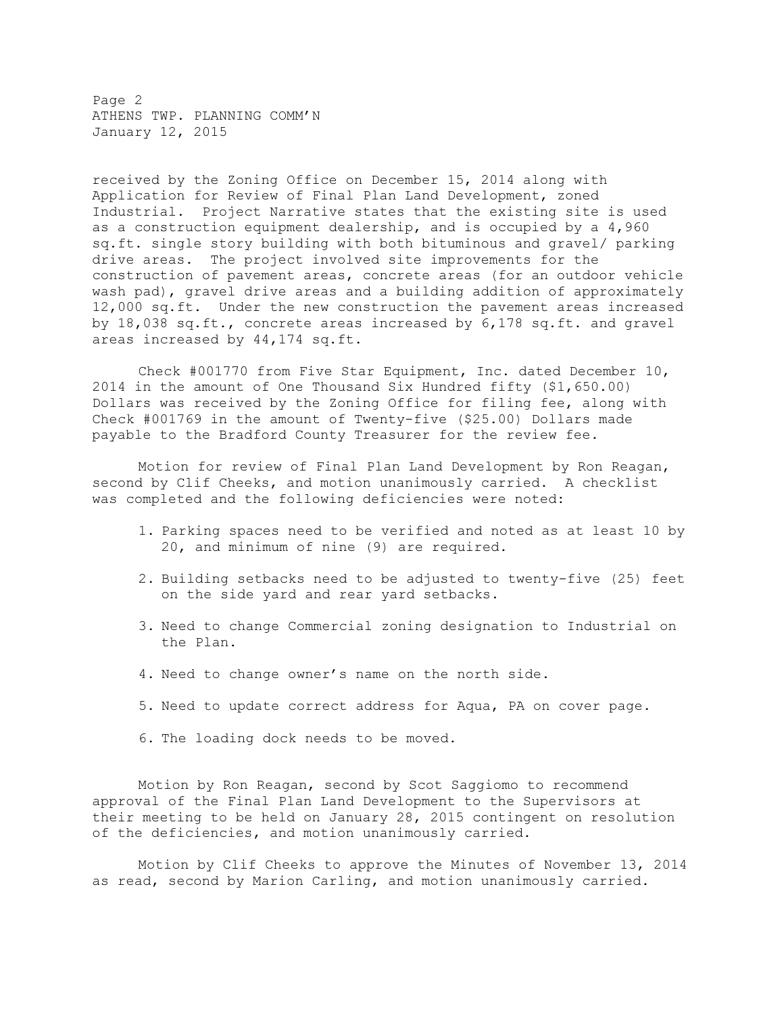Page 2 ATHENS TWP. PLANNING COMM'N January 12, 2015

received by the Zoning Office on December 15, 2014 along with Application for Review of Final Plan Land Development, zoned Industrial. Project Narrative states that the existing site is used as a construction equipment dealership, and is occupied by a 4,960 sq.ft. single story building with both bituminous and gravel/ parking drive areas. The project involved site improvements for the construction of pavement areas, concrete areas (for an outdoor vehicle wash pad), gravel drive areas and a building addition of approximately 12,000 sq.ft. Under the new construction the pavement areas increased by 18,038 sq.ft., concrete areas increased by 6,178 sq.ft. and gravel areas increased by 44,174 sq.ft.

Check #001770 from Five Star Equipment, Inc. dated December 10, 2014 in the amount of One Thousand Six Hundred fifty (\$1,650.00) Dollars was received by the Zoning Office for filing fee, along with Check #001769 in the amount of Twenty-five (\$25.00) Dollars made payable to the Bradford County Treasurer for the review fee.

Motion for review of Final Plan Land Development by Ron Reagan, second by Clif Cheeks, and motion unanimously carried. A checklist was completed and the following deficiencies were noted:

- 1. Parking spaces need to be verified and noted as at least 10 by 20, and minimum of nine (9) are required.
- 2. Building setbacks need to be adjusted to twenty-five (25) feet on the side yard and rear yard setbacks.
- 3. Need to change Commercial zoning designation to Industrial on the Plan.
- 4. Need to change owner's name on the north side.
- 5. Need to update correct address for Aqua, PA on cover page.
- 6. The loading dock needs to be moved.

Motion by Ron Reagan, second by Scot Saggiomo to recommend approval of the Final Plan Land Development to the Supervisors at their meeting to be held on January 28, 2015 contingent on resolution of the deficiencies, and motion unanimously carried.

Motion by Clif Cheeks to approve the Minutes of November 13, 2014 as read, second by Marion Carling, and motion unanimously carried.